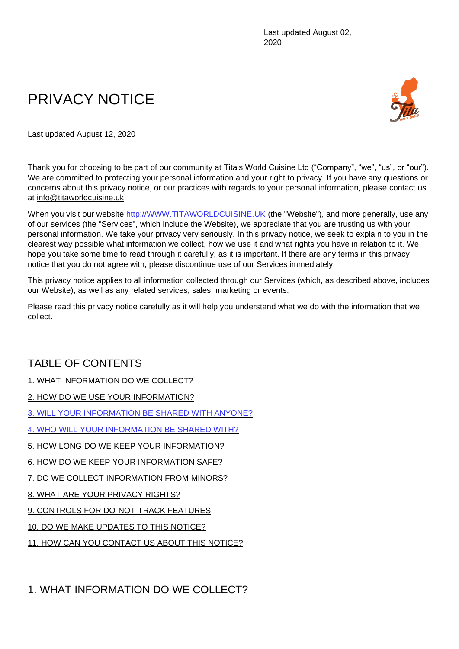# PRIVACY NOTICE



Last updated August 12, 2020

Thank you for choosing to be part of our community at Tita's World Cuisine Ltd ("Company", "we", "us", or "our"). We are committed to protecting your personal information and your right to privacy. If you have any questions or concerns about this privacy notice, or our practices with regards to your personal information, please contact us at [info@titaworldcuisine.uk.](mailto:info@titaworldcuisine.uk)

When you visit our website [http://WWW.TITAWORLDCUISINE.UK](http://www.titaworldcuisine.uk/) (the "Website"), and more generally, use any of our services (the "Services", which include the Website), we appreciate that you are trusting us with your personal information. We take your privacy very seriously. In this privacy notice, we seek to explain to you in the clearest way possible what information we collect, how we use it and what rights you have in relation to it. We hope you take some time to read through it carefully, as it is important. If there are any terms in this privacy notice that you do not agree with, please discontinue use of our Services immediately.

This privacy notice applies to all information collected through our Services (which, as described above, includes our Website), as well as any related services, sales, marketing or events.

Please read this privacy notice carefully as it will help you understand what we do with the information that we collect.

### TABLE OF CONTENTS

[1. WHAT INFORMATION DO WE COLLECT?](https://app.termly.io/dashboard/website/530417/privacy-policy#infocollect)

[2. HOW DO WE USE YOUR INFORMATION?](https://app.termly.io/dashboard/website/530417/privacy-policy#infouse)

[3. WILL YOUR INFORMATION BE SHARED WITH ANYONE?](https://app.termly.io/dashboard/website/530417/privacy-policy#infoshare)

[4. WHO WILL YOUR INFORMATION BE SHARED WITH?](https://app.termly.io/dashboard/website/530417/privacy-policy#whoshare)

[5. HOW LONG DO WE KEEP YOUR INFORMATION?](https://app.termly.io/dashboard/website/530417/privacy-policy#inforetain)

[6. HOW DO WE KEEP YOUR INFORMATION SAFE?](https://app.termly.io/dashboard/website/530417/privacy-policy#infosafe)

[7. DO WE COLLECT INFORMATION FROM MINORS?](https://app.termly.io/dashboard/website/530417/privacy-policy#infominors)

[8. WHAT ARE YOUR PRIVACY RIGHTS?](https://app.termly.io/dashboard/website/530417/privacy-policy#privacyrights)

[9. CONTROLS FOR DO-NOT-TRACK FEATURES](https://app.termly.io/dashboard/website/530417/privacy-policy#DNT)

[10. DO WE MAKE UPDATES TO THIS NOTICE?](https://app.termly.io/dashboard/website/530417/privacy-policy#policyupdates)

[11. HOW CAN YOU CONTACT US ABOUT THIS NOTICE?](https://app.termly.io/dashboard/website/530417/privacy-policy#contact)

### 1. WHAT INFORMATION DO WE COLLECT?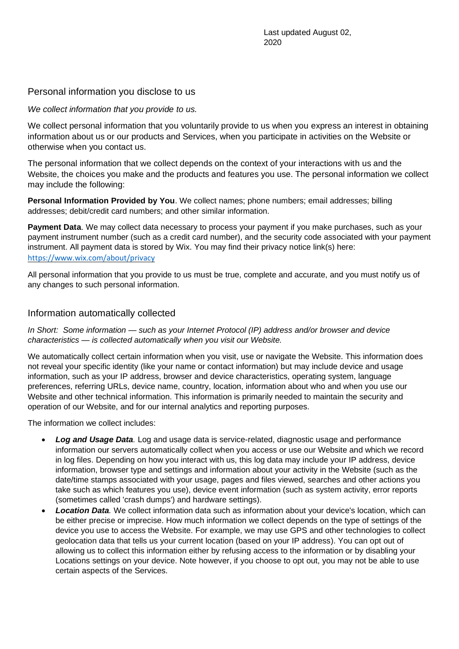#### Personal information you disclose to us

#### *We collect information that you provide to us.*

We collect personal information that you voluntarily provide to us when you express an interest in obtaining information about us or our products and Services, when you participate in activities on the Website or otherwise when you contact us.

The personal information that we collect depends on the context of your interactions with us and the Website, the choices you make and the products and features you use. The personal information we collect may include the following:

**Personal Information Provided by You**. We collect names; phone numbers; email addresses; billing addresses; debit/credit card numbers; and other similar information.

**Payment Data**. We may collect data necessary to process your payment if you make purchases, such as your payment instrument number (such as a credit card number), and the security code associated with your payment instrument. All payment data is stored by Wix. You may find their privacy notice link(s) here: <https://www.wix.com/about/privacy>

All personal information that you provide to us must be true, complete and accurate, and you must notify us of any changes to such personal information.

#### Information automatically collected

*In Short: Some information — such as your Internet Protocol (IP) address and/or browser and device characteristics — is collected automatically when you visit our Website.*

We automatically collect certain information when you visit, use or navigate the Website. This information does not reveal your specific identity (like your name or contact information) but may include device and usage information, such as your IP address, browser and device characteristics, operating system, language preferences, referring URLs, device name, country, location, information about who and when you use our Website and other technical information. This information is primarily needed to maintain the security and operation of our Website, and for our internal analytics and reporting purposes.

The information we collect includes:

- *Log and Usage Data.* Log and usage data is service-related, diagnostic usage and performance information our servers automatically collect when you access or use our Website and which we record in log files. Depending on how you interact with us, this log data may include your IP address, device information, browser type and settings and information about your activity in the Website (such as the date/time stamps associated with your usage, pages and files viewed, searches and other actions you take such as which features you use), device event information (such as system activity, error reports (sometimes called 'crash dumps') and hardware settings).
- *Location Data.* We collect information data such as information about your device's location, which can be either precise or imprecise. How much information we collect depends on the type of settings of the device you use to access the Website. For example, we may use GPS and other technologies to collect geolocation data that tells us your current location (based on your IP address). You can opt out of allowing us to collect this information either by refusing access to the information or by disabling your Locations settings on your device. Note however, if you choose to opt out, you may not be able to use certain aspects of the Services.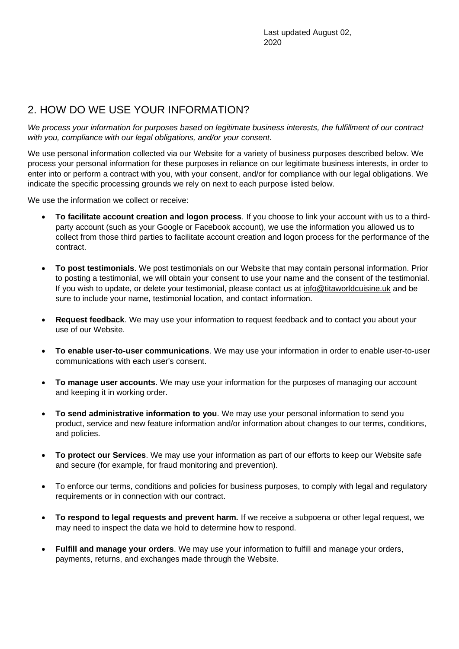### 2. HOW DO WE USE YOUR INFORMATION?

*We process your information for purposes based on legitimate business interests, the fulfillment of our contract with you, compliance with our legal obligations, and/or your consent.*

We use personal information collected via our Website for a variety of business purposes described below. We process your personal information for these purposes in reliance on our legitimate business interests, in order to enter into or perform a contract with you, with your consent, and/or for compliance with our legal obligations. We indicate the specific processing grounds we rely on next to each purpose listed below.

We use the information we collect or receive:

- **To facilitate account creation and logon process**. If you choose to link your account with us to a thirdparty account (such as your Google or Facebook account), we use the information you allowed us to collect from those third parties to facilitate account creation and logon process for the performance of the contract.
- **To post testimonials**. We post testimonials on our Website that may contain personal information. Prior to posting a testimonial, we will obtain your consent to use your name and the consent of the testimonial. If you wish to update, or delete your testimonial, please contact us at [info@titaworldcuisine.uk](mailto:info@titaworldcuisine.uk) and be sure to include your name, testimonial location, and contact information.
- **Request feedback**. We may use your information to request feedback and to contact you about your use of our Website.
- **To enable user-to-user communications**. We may use your information in order to enable user-to-user communications with each user's consent.
- **To manage user accounts**. We may use your information for the purposes of managing our account and keeping it in working order.
- **To send administrative information to you**. We may use your personal information to send you product, service and new feature information and/or information about changes to our terms, conditions, and policies.
- **To protect our Services**. We may use your information as part of our efforts to keep our Website safe and secure (for example, for fraud monitoring and prevention).
- To enforce our terms, conditions and policies for business purposes, to comply with legal and regulatory requirements or in connection with our contract.
- **To respond to legal requests and prevent harm.** If we receive a subpoena or other legal request, we may need to inspect the data we hold to determine how to respond.
- **Fulfill and manage your orders**. We may use your information to fulfill and manage your orders, payments, returns, and exchanges made through the Website.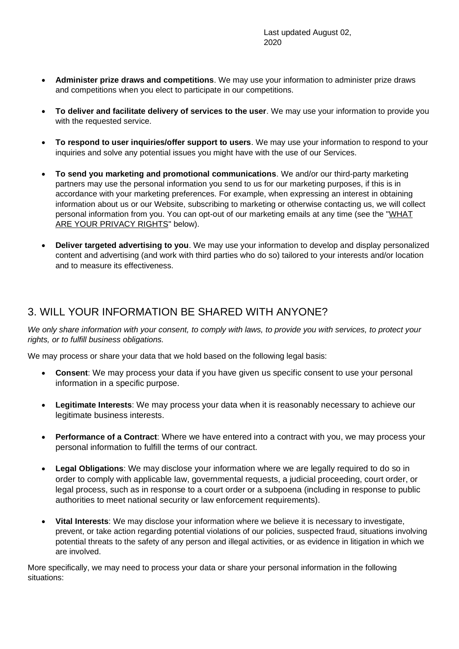- **Administer prize draws and competitions**. We may use your information to administer prize draws and competitions when you elect to participate in our competitions.
- **To deliver and facilitate delivery of services to the user**. We may use your information to provide you with the requested service.
- **To respond to user inquiries/offer support to users**. We may use your information to respond to your inquiries and solve any potential issues you might have with the use of our Services.
- **To send you marketing and promotional communications**. We and/or our third-party marketing partners may use the personal information you send to us for our marketing purposes, if this is in accordance with your marketing preferences. For example, when expressing an interest in obtaining information about us or our Website, subscribing to marketing or otherwise contacting us, we will collect personal information from you. You can opt-out of our marketing emails at any time (see the ["WHAT](https://app.termly.io/dashboard/website/530417/privacy-policy#privacyrights)  [ARE YOUR PRIVACY RIGHTS"](https://app.termly.io/dashboard/website/530417/privacy-policy#privacyrights) below).
- **Deliver targeted advertising to you**. We may use your information to develop and display personalized content and advertising (and work with third parties who do so) tailored to your interests and/or location and to measure its effectiveness.

#### 3. WILL YOUR INFORMATION BE SHARED WITH ANYONE?

*We only share information with your consent, to comply with laws, to provide you with services, to protect your rights, or to fulfill business obligations.*

We may process or share your data that we hold based on the following legal basis:

- **Consent**: We may process your data if you have given us specific consent to use your personal information in a specific purpose.
- **Legitimate Interests**: We may process your data when it is reasonably necessary to achieve our legitimate business interests.
- **Performance of a Contract**: Where we have entered into a contract with you, we may process your personal information to fulfill the terms of our contract.
- **Legal Obligations**: We may disclose your information where we are legally required to do so in order to comply with applicable law, governmental requests, a judicial proceeding, court order, or legal process, such as in response to a court order or a subpoena (including in response to public authorities to meet national security or law enforcement requirements).
- **Vital Interests**: We may disclose your information where we believe it is necessary to investigate, prevent, or take action regarding potential violations of our policies, suspected fraud, situations involving potential threats to the safety of any person and illegal activities, or as evidence in litigation in which we are involved.

More specifically, we may need to process your data or share your personal information in the following situations: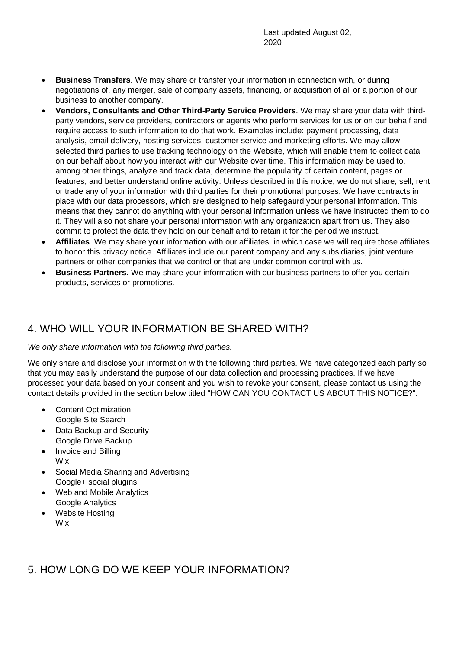- **Business Transfers**. We may share or transfer your information in connection with, or during negotiations of, any merger, sale of company assets, financing, or acquisition of all or a portion of our business to another company.
- **Vendors, Consultants and Other Third-Party Service Providers**. We may share your data with thirdparty vendors, service providers, contractors or agents who perform services for us or on our behalf and require access to such information to do that work. Examples include: payment processing, data analysis, email delivery, hosting services, customer service and marketing efforts. We may allow selected third parties to use tracking technology on the Website, which will enable them to collect data on our behalf about how you interact with our Website over time. This information may be used to, among other things, analyze and track data, determine the popularity of certain content, pages or features, and better understand online activity. Unless described in this notice, we do not share, sell, rent or trade any of your information with third parties for their promotional purposes. We have contracts in place with our data processors, which are designed to help safegaurd your personal information. This means that they cannot do anything with your personal information unless we have instructed them to do it. They will also not share your personal information with any organization apart from us. They also commit to protect the data they hold on our behalf and to retain it for the period we instruct.
- **Affiliates**. We may share your information with our affiliates, in which case we will require those affiliates to honor this privacy notice. Affiliates include our parent company and any subsidiaries, joint venture partners or other companies that we control or that are under common control with us.
- **Business Partners**. We may share your information with our business partners to offer you certain products, services or promotions.

# 4. WHO WILL YOUR INFORMATION BE SHARED WITH?

#### *We only share information with the following third parties.*

We only share and disclose your information with the following third parties. We have categorized each party so that you may easily understand the purpose of our data collection and processing practices. If we have processed your data based on your consent and you wish to revoke your consent, please contact us using the contact details provided in the section below titled ["HOW CAN YOU CONTACT US ABOUT THIS NOTICE?"](https://app.termly.io/dashboard/website/530417/privacy-policy#contact).

- Content Optimization Google Site Search
- Data Backup and Security Google Drive Backup
- Invoice and Billing Wix
- Social Media Sharing and Advertising Google+ social plugins
- Web and Mobile Analytics Google Analytics
- Website Hosting Wix

# 5. HOW LONG DO WE KEEP YOUR INFORMATION?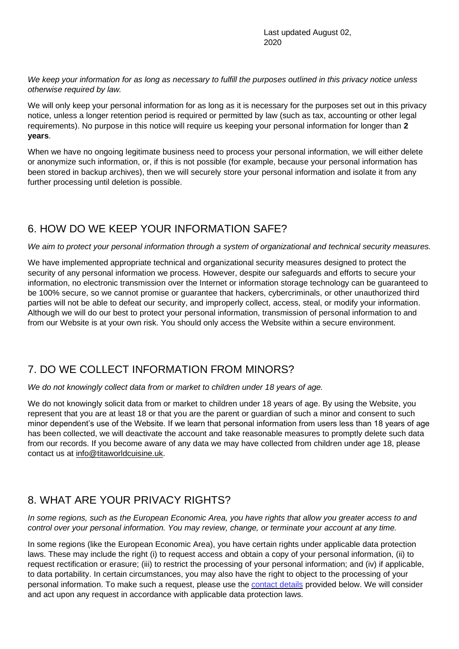*We keep your information for as long as necessary to fulfill the purposes outlined in this privacy notice unless otherwise required by law.*

We will only keep your personal information for as long as it is necessary for the purposes set out in this privacy notice, unless a longer retention period is required or permitted by law (such as tax, accounting or other legal requirements). No purpose in this notice will require us keeping your personal information for longer than **2 years**.

When we have no ongoing legitimate business need to process your personal information, we will either delete or anonymize such information, or, if this is not possible (for example, because your personal information has been stored in backup archives), then we will securely store your personal information and isolate it from any further processing until deletion is possible.

### 6. HOW DO WE KEEP YOUR INFORMATION SAFE?

#### *We aim to protect your personal information through a system of organizational and technical security measures.*

We have implemented appropriate technical and organizational security measures designed to protect the security of any personal information we process. However, despite our safeguards and efforts to secure your information, no electronic transmission over the Internet or information storage technology can be guaranteed to be 100% secure, so we cannot promise or guarantee that hackers, cybercriminals, or other unauthorized third parties will not be able to defeat our security, and improperly collect, access, steal, or modify your information. Although we will do our best to protect your personal information, transmission of personal information to and from our Website is at your own risk. You should only access the Website within a secure environment.

### 7. DO WE COLLECT INFORMATION FROM MINORS?

*We do not knowingly collect data from or market to children under 18 years of age.*

We do not knowingly solicit data from or market to children under 18 years of age. By using the Website, you represent that you are at least 18 or that you are the parent or guardian of such a minor and consent to such minor dependent's use of the Website. If we learn that personal information from users less than 18 years of age has been collected, we will deactivate the account and take reasonable measures to promptly delete such data from our records. If you become aware of any data we may have collected from children under age 18, please contact us at [info@titaworldcuisine.uk.](mailto:info@titaworldcuisine.uk)

# 8. WHAT ARE YOUR PRIVACY RIGHTS?

*In some regions, such as the European Economic Area, you have rights that allow you greater access to and control over your personal information. You may review, change, or terminate your account at any time.*

In some regions (like the European Economic Area), you have certain rights under applicable data protection laws. These may include the right (i) to request access and obtain a copy of your personal information, (ii) to request rectification or erasure; (iii) to restrict the processing of your personal information; and (iv) if applicable, to data portability. In certain circumstances, you may also have the right to object to the processing of your personal information. To make such a request, please use the [contact details](https://app.termly.io/dashboard/website/530417/privacy-policy#contact) provided below. We will consider and act upon any request in accordance with applicable data protection laws.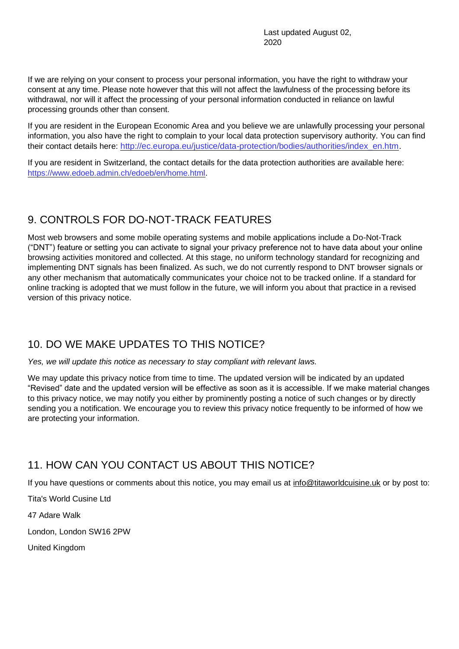If we are relying on your consent to process your personal information, you have the right to withdraw your consent at any time. Please note however that this will not affect the lawfulness of the processing before its withdrawal, nor will it affect the processing of your personal information conducted in reliance on lawful processing grounds other than consent.

If you are resident in the European Economic Area and you believe we are unlawfully processing your personal information, you also have the right to complain to your local data protection supervisory authority. You can find their contact details here: [http://ec.europa.eu/justice/data-protection/bodies/authorities/index\\_en.htm.](http://ec.europa.eu/justice/data-protection/bodies/authorities/index_en.htm)

If you are resident in Switzerland, the contact details for the data protection authorities are available here: <https://www.edoeb.admin.ch/edoeb/en/home.html>.

# 9. CONTROLS FOR DO-NOT-TRACK FEATURES

Most web browsers and some mobile operating systems and mobile applications include a Do-Not-Track ("DNT") feature or setting you can activate to signal your privacy preference not to have data about your online browsing activities monitored and collected. At this stage, no uniform technology standard for recognizing and implementing DNT signals has been finalized. As such, we do not currently respond to DNT browser signals or any other mechanism that automatically communicates your choice not to be tracked online. If a standard for online tracking is adopted that we must follow in the future, we will inform you about that practice in a revised version of this privacy notice.

# 10. DO WE MAKE UPDATES TO THIS NOTICE?

*Yes, we will update this notice as necessary to stay compliant with relevant laws.*

We may update this privacy notice from time to time. The updated version will be indicated by an updated "Revised" date and the updated version will be effective as soon as it is accessible. If we make material changes to this privacy notice, we may notify you either by prominently posting a notice of such changes or by directly sending you a notification. We encourage you to review this privacy notice frequently to be informed of how we are protecting your information.

# 11. HOW CAN YOU CONTACT US ABOUT THIS NOTICE?

If you have questions or comments about this notice, you may email us at [info@titaworldcuisine.uk](mailto:info@titaworldcuisine.uk) or by post to:

Tita's World Cusine Ltd

47 Adare Walk

London, London SW16 2PW

United Kingdom